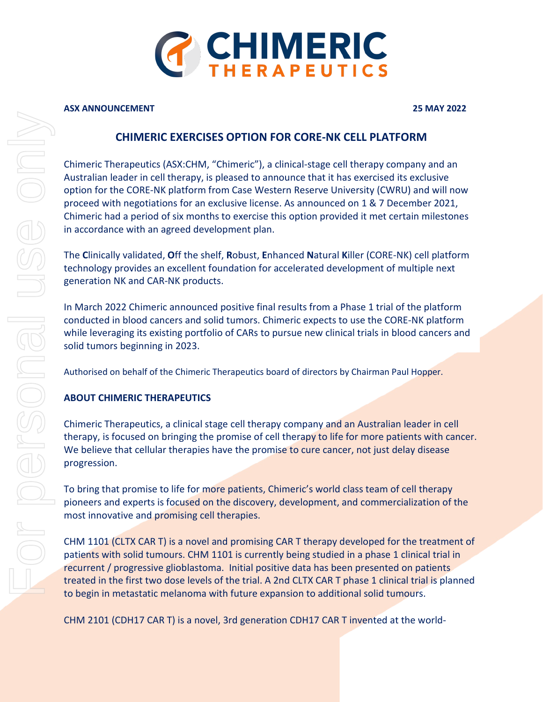

#### **ASX ANNOUNCEMENT 25 MAY 2022**

## **CHIMERIC EXERCISES OPTION FOR CORE-NK CELL PLATFORM**

Chimeric Therapeutics (ASX:CHM, "Chimeric"), a clinical-stage cell therapy company and an Australian leader in cell therapy, is pleased to announce that it has exercised its exclusive option for the CORE-NK platform from Case Western Reserve University (CWRU) and will now proceed with negotiations for an exclusive license. As announced on 1 & 7 December 2021, Chimeric had a period of six months to exercise this option provided it met certain milestones in accordance with an agreed development plan.

The **C**linically validated, **O**ff the shelf, **R**obust, **E**nhanced **N**atural **K**iller (CORE-NK) cell platform technology provides an excellent foundation for accelerated development of multiple next generation NK and CAR-NK products.

In March 2022 Chimeric announced positive final results from a Phase 1 trial of the platform conducted in blood cancers and solid tumors. Chimeric expects to use the CORE-NK platform while leveraging its existing portfolio of CARs to pursue new clinical trials in blood cancers and solid tumors beginning in 2023.

Authorised on behalf of the Chimeric Therapeutics board of directors by Chairman Paul Hopper.

### **ABOUT CHIMERIC THERAPEUTICS**

Chimeric Therapeutics, a clinical stage cell therapy company and an Australian leader in cell therapy, is focused on bringing the promise of cell therapy to life for more patients with cancer. We believe that cellular therapies have the promise to cure cancer, not just delay disease progression.

To bring that promise to life for more patients, Chimeric's world class team of cell therapy pioneers and experts is focused on the discovery, development, and commercialization of the most innovative and promising cell therapies.

CHM 1101 (CLTX CAR T) is a novel and promising CAR T therapy developed for the treatment of patients with solid tumours. CHM 1101 is currently being studied in a phase 1 clinical trial in recurrent / progressive glioblastoma. Initial positive data has been presented on patients treated in the first two dose levels of the trial. A 2nd CLTX CAR T phase 1 clinical trial is planned to begin in metastatic melanoma with future expansion to additional solid tumours.

CHM 2101 (CDH17 CAR T) is a novel, 3rd generation CDH17 CAR T invented at the world-